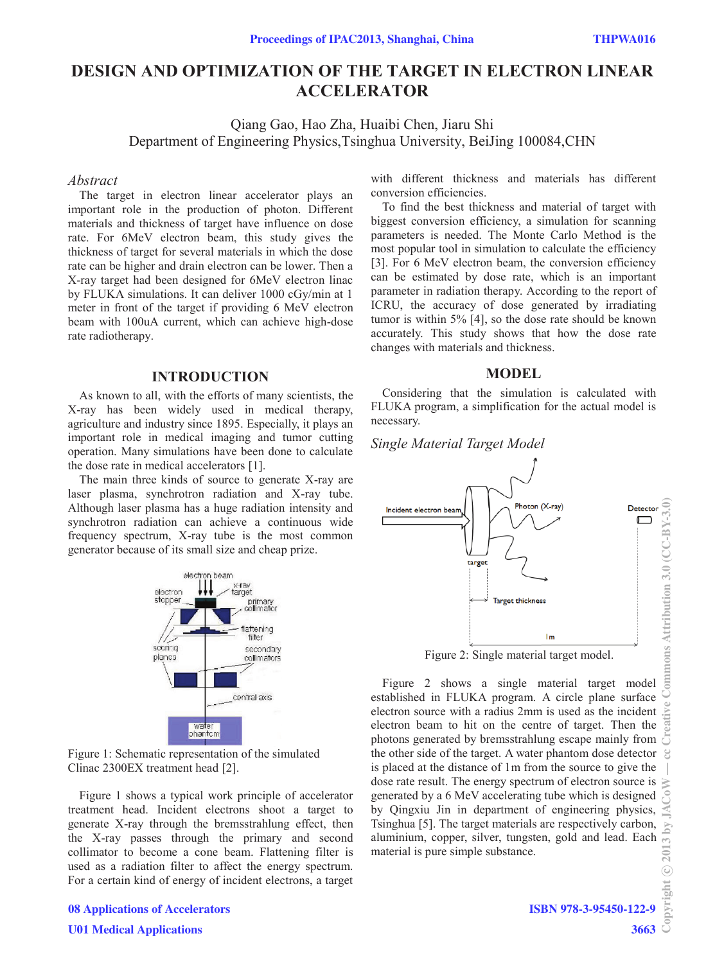# **DESIGN AND OPTIMIZATION OF THE TARGET IN ELECTRON LINEAR ACCELERATOR**

Qiang Gao, Hao Zha, Huaibi Chen, Jiaru Shi Department of Engineering Physics,Tsinghua University, BeiJing 100084,CHN

#### *Abstract*

The target in electron linear accelerator plays an important role in the production of photon. Different materials and thickness of target have influence on dose rate. For 6MeV electron beam, this study gives the thickness of target for several materials in which the dose rate can be higher and drain electron can be lower. Then a X-ray target had been designed for 6MeV electron linac by FLUKA simulations. It can deliver 1000 cGy/min at 1 meter in front of the target if providing 6 MeV electron beam with 100uA current, which can achieve high-dose rate radiotherapy.

## **INTRODUCTION**

As known to all, with the efforts of many scientists, the X-ray has been widely used in medical therapy, agriculture and industry since 1895. Especially, it plays an important role in medical imaging and tumor cutting operation. Many simulations have been done to calculate the dose rate in medical accelerators [1].

The main three kinds of source to generate X-ray are laser plasma, synchrotron radiation and X-ray tube. Although laser plasma has a huge radiation intensity and synchrotron radiation can achieve a continuous wide frequency spectrum, X-ray tube is the most common generator because of its small size and cheap prize.



Figure 1: Schematic representation of the simulated Clinac 2300EX treatment head [2].

Figure 1 shows a typical work principle of accelerator treatment head. Incident electrons shoot a target to generate X-ray through the bremsstrahlung effect, then the X-ray passes through the primary and second collimator to become a cone beam. Flattening filter is used as a radiation filter to affect the energy spectrum. For a certain kind of energy of incident electrons, a target with different thickness and materials has different conversion efficiencies.

To find the best thickness and material of target with biggest conversion efficiency, a simulation for scanning parameters is needed. The Monte Carlo Method is the most popular tool in simulation to calculate the efficiency [3]. For 6 MeV electron beam, the conversion efficiency can be estimated by dose rate, which is an important parameter in radiation therapy. According to the report of ICRU, the accuracy of dose generated by irradiating tumor is within 5% [4], so the dose rate should be known accurately. This study shows that how the dose rate changes with materials and thickness.

## **MODEL**

Considering that the simulation is calculated with FLUKA program, a simplification for the actual model is necessary.

## *Single Material Target Model*



Figure 2: Single material target model.

Figure 2 shows a single material target model established in FLUKA program. A circle plane surface electron source with a radius 2mm is used as the incident electron beam to hit on the centre of target. Then the photons generated by bremsstrahlung escape mainly from  $\overline{\circ}$ the other side of the target. A water phantom dose detector  $\mathcal{C}$ is placed at the distance of 1m from the source to give the dose rate result. The energy spectrum of electron source is generated by a 6 MeV accelerating tube which is designed by Qingxiu Jin in department of engineering physics, Tsinghua [5]. The target materials are respectively carbon,  $13$  by: aluminium, copper, silver, tungsten, gold and lead. Each  $\odot$  201 material is pure simple substance.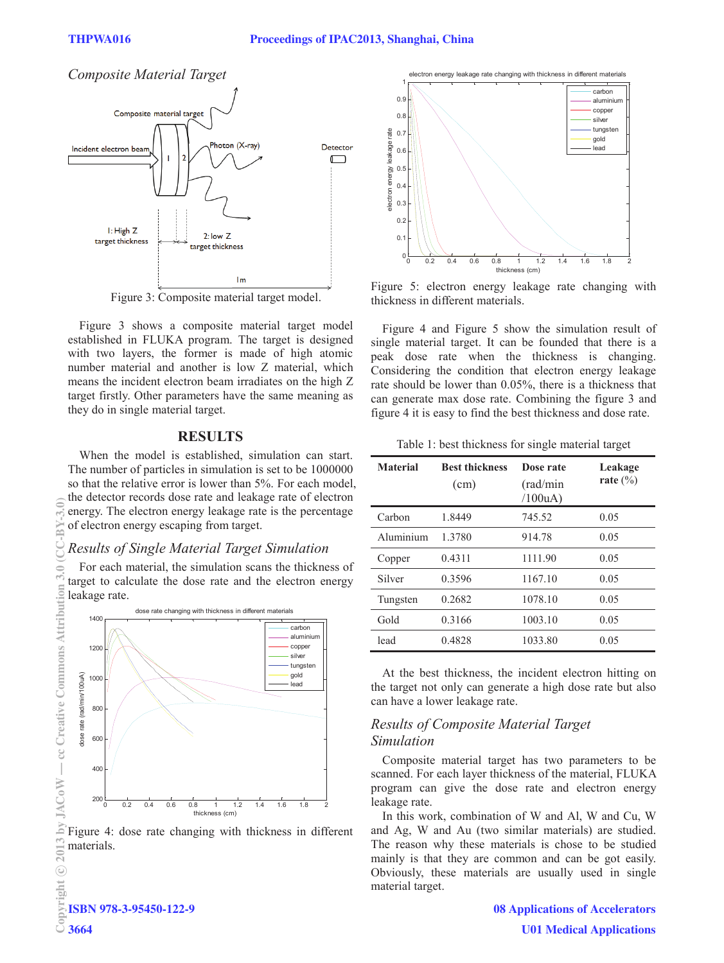# *Composite Material Target*



Figure 3: Composite material target model.

Figure 3 shows a composite material target model established in FLUKA program. The target is designed with two layers, the former is made of high atomic number material and another is low Z material, which means the incident electron beam irradiates on the high Z target firstly. Other parameters have the same meaning as they do in single material target.

### **RESULTS**

When the model is established, simulation can start. The number of particles in simulation is set to be 1000000 so that the relative error is lower than 5%. For each model, the detector records dose rate and leakage rate of electron energy. The electron energy leakage rate is the percentage of electron energy escaping from target.

## *Results of Single Material Target Simulation*

For each material, the simulation scans the thickness of target to calculate the dose rate and the electron energy leakage rate.



Figure 4: dose rate changing with thickness in different materials.



Figure 5: electron energy leakage rate changing with thickness in different materials.

Figure 4 and Figure 5 show the simulation result of single material target. It can be founded that there is a peak dose rate when the thickness is changing. Considering the condition that electron energy leakage rate should be lower than 0.05%, there is a thickness that can generate max dose rate. Combining the figure 3 and figure 4 it is easy to find the best thickness and dose rate.

Table 1: best thickness for single material target

| <b>Material</b> | <b>Best thickness</b><br>(cm) | Dose rate<br>(rad/min)<br>/100uA) | Leakage<br>rate $(\% )$ |
|-----------------|-------------------------------|-----------------------------------|-------------------------|
| Carbon          | 1.8449                        | 745.52                            | 0.05                    |
| Aluminium       | 1.3780                        | 914.78                            | 0.05                    |
| Copper          | 0.4311                        | 1111.90                           | 0.05                    |
| Silver          | 0.3596                        | 1167.10                           | 0.05                    |
| Tungsten        | 0.2682                        | 1078.10                           | 0.05                    |
| Gold            | 0.3166                        | 1003.10                           | 0.05                    |
| lead            | 0.4828                        | 1033.80                           | 0.05                    |

At the best thickness, the incident electron hitting on the target not only can generate a high dose rate but also can have a lower leakage rate.

## *Results of Composite Material Target Simulation*

Composite material target has two parameters to be scanned. For each layer thickness of the material, FLUKA program can give the dose rate and electron energy leakage rate.

In this work, combination of W and Al, W and Cu, W and Ag, W and Au (two similar materials) are studied. The reason why these materials is chose to be studied mainly is that they are common and can be got easily. Obviously, these materials are usually used in single material target.